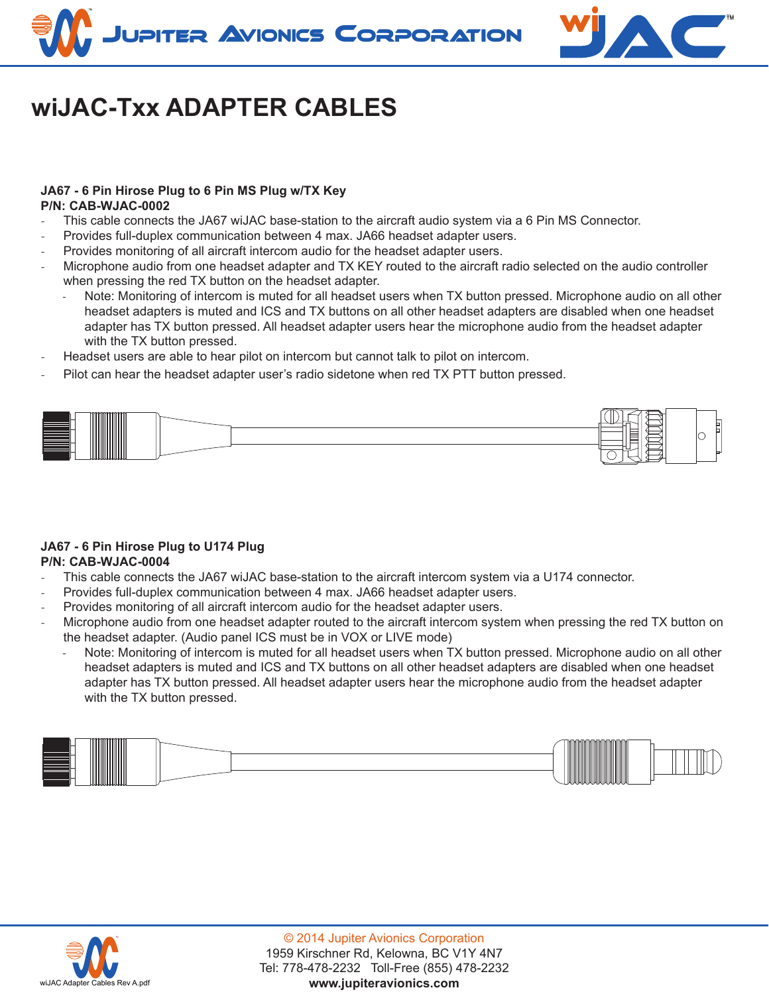



# **wiJAC-Txx ADAPTER CABLES**

#### **JA67 - 6 Pin Hirose Plug to 6 Pin MS Plug w/TX Key P/N: CAB-WJAC-0002**

- This cable connects the JA67 wiJAC base-station to the aircraft audio system via a 6 Pin MS Connector.
- Provides full-duplex communication between 4 max. JA66 headset adapter users.
- Provides monitoring of all aircraft intercom audio for the headset adapter users.
- Microphone audio from one headset adapter and TX KEY routed to the aircraft radio selected on the audio controller when pressing the red TX button on the headset adapter.
	- Note: Monitoring of intercom is muted for all headset users when TX button pressed. Microphone audio on all other headset adapters is muted and ICS and TX buttons on all other headset adapters are disabled when one headset adapter has TX button pressed. All headset adapter users hear the microphone audio from the headset adapter with the TX button pressed.
- Headset users are able to hear pilot on intercom but cannot talk to pilot on intercom.
- Pilot can hear the headset adapter user's radio sidetone when red TX PTT button pressed.



#### **JA67 - 6 Pin Hirose Plug to U174 Plug P/N: CAB-WJAC-0004**

- This cable connects the JA67 wiJAC base-station to the aircraft intercom system via a U174 connector.
- Provides full-duplex communication between 4 max. JA66 headset adapter users.
- Provides monitoring of all aircraft intercom audio for the headset adapter users.
- Microphone audio from one headset adapter routed to the aircraft intercom system when pressing the red TX button on the headset adapter. (Audio panel ICS must be in VOX or LIVE mode)
	- Note: Monitoring of intercom is muted for all headset users when TX button pressed. Microphone audio on all other headset adapters is muted and ICS and TX buttons on all other headset adapters are disabled when one headset adapter has TX button pressed. All headset adapter users hear the microphone audio from the headset adapter with the TX button pressed.